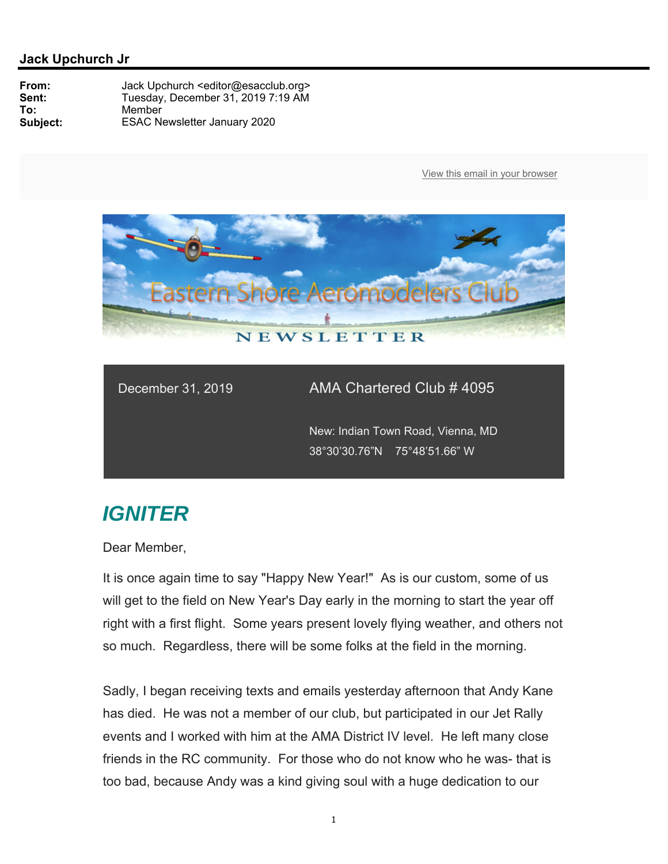

December 31, 2019 AMA Chartered Club # 4095

 New: Indian Town Road, Vienna, MD 38°30'30.76"N 75°48'51.66" W

## *IGNITER*

Dear Member,

It is once again time to say "Happy New Year!" As is our custom, some of us will get to the field on New Year's Day early in the morning to start the year off right with a first flight. Some years present lovely flying weather, and others not so much. Regardless, there will be some folks at the field in the morning.

Sadly, I began receiving texts and emails yesterday afternoon that Andy Kane has died. He was not a member of our club, but participated in our Jet Rally events and I worked with him at the AMA District IV level. He left many close friends in the RC community. For those who do not know who he was- that is too bad, because Andy was a kind giving soul with a huge dedication to our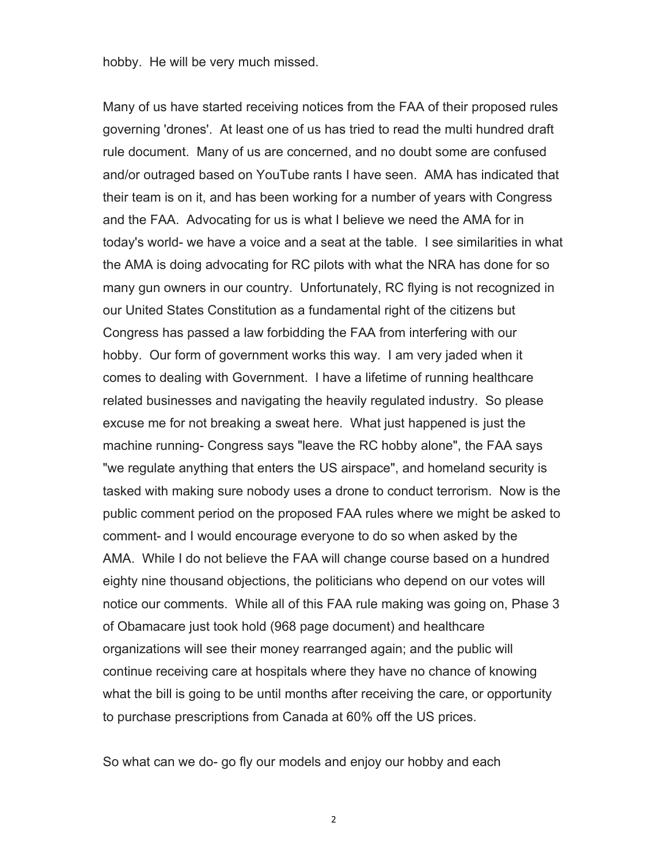hobby. He will be very much missed.

Many of us have started receiving notices from the FAA of their proposed rules governing 'drones'. At least one of us has tried to read the multi hundred draft rule document. Many of us are concerned, and no doubt some are confused and/or outraged based on YouTube rants I have seen. AMA has indicated that their team is on it, and has been working for a number of years with Congress and the FAA. Advocating for us is what I believe we need the AMA for in today's world- we have a voice and a seat at the table. I see similarities in what the AMA is doing advocating for RC pilots with what the NRA has done for so many gun owners in our country. Unfortunately, RC flying is not recognized in our United States Constitution as a fundamental right of the citizens but Congress has passed a law forbidding the FAA from interfering with our hobby. Our form of government works this way. I am very jaded when it comes to dealing with Government. I have a lifetime of running healthcare related businesses and navigating the heavily regulated industry. So please excuse me for not breaking a sweat here. What just happened is just the machine running- Congress says "leave the RC hobby alone", the FAA says "we regulate anything that enters the US airspace", and homeland security is tasked with making sure nobody uses a drone to conduct terrorism. Now is the public comment period on the proposed FAA rules where we might be asked to comment- and I would encourage everyone to do so when asked by the AMA. While I do not believe the FAA will change course based on a hundred eighty nine thousand objections, the politicians who depend on our votes will notice our comments. While all of this FAA rule making was going on, Phase 3 of Obamacare just took hold (968 page document) and healthcare organizations will see their money rearranged again; and the public will continue receiving care at hospitals where they have no chance of knowing what the bill is going to be until months after receiving the care, or opportunity to purchase prescriptions from Canada at 60% off the US prices.

So what can we do- go fly our models and enjoy our hobby and each

2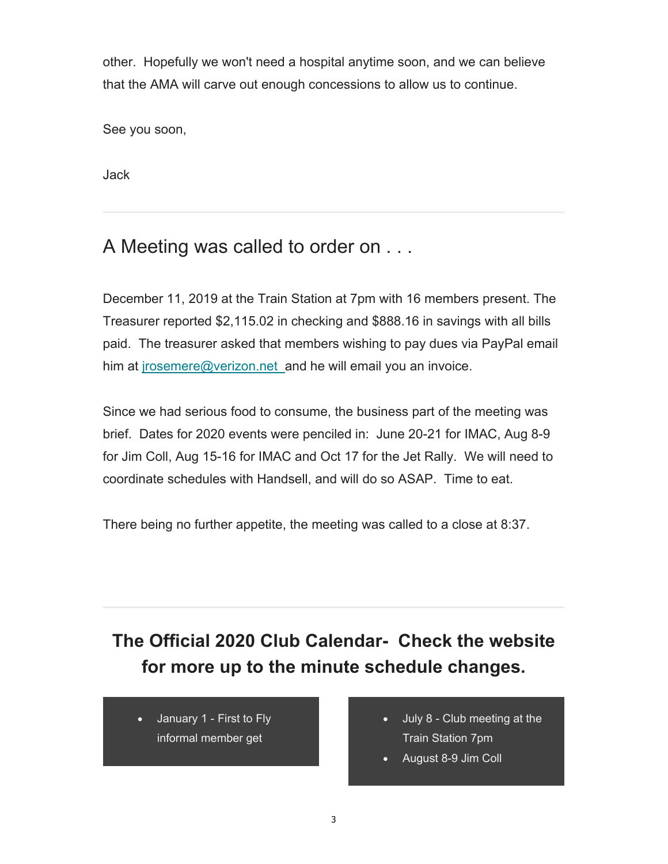other. Hopefully we won't need a hospital anytime soon, and we can believe that the AMA will carve out enough concessions to allow us to continue.

See you soon,

Jack

## A Meeting was called to order on . . .

December 11, 2019 at the Train Station at 7pm with 16 members present. The Treasurer reported \$2,115.02 in checking and \$888.16 in savings with all bills paid. The treasurer asked that members wishing to pay dues via PayPal email him at jrosemere@verizon.net\_and he will email you an invoice.

Since we had serious food to consume, the business part of the meeting was brief. Dates for 2020 events were penciled in: June 20-21 for IMAC, Aug 8-9 for Jim Coll, Aug 15-16 for IMAC and Oct 17 for the Jet Rally. We will need to coordinate schedules with Handsell, and will do so ASAP. Time to eat.

There being no further appetite, the meeting was called to a close at 8:37.

# **The Official 2020 Club Calendar- Check the website for more up to the minute schedule changes.**

 January 1 - First to Fly informal member get

- July 8 Club meeting at the Train Station 7pm
- August 8-9 Jim Coll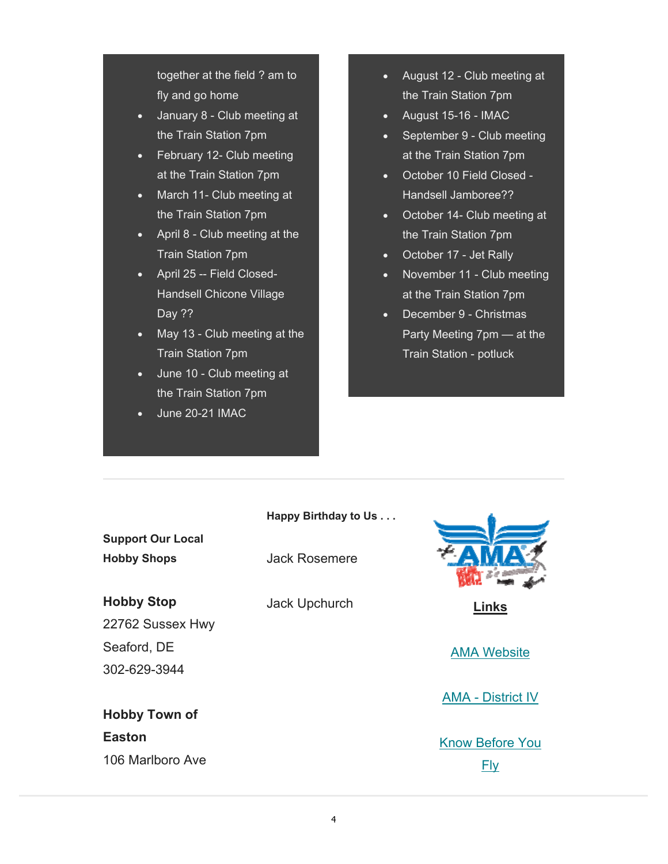together at the field ? am to fly and go home

- January 8 Club meeting at the Train Station 7pm
- February 12- Club meeting at the Train Station 7pm
- March 11- Club meeting at the Train Station 7pm
- April 8 Club meeting at the Train Station 7pm
- April 25 -- Field Closed-Handsell Chicone Village Day ??
- May 13 Club meeting at the Train Station 7pm
- $\overline{\bullet}$  June 10 Club meeting at the Train Station 7pm
- June 20-21 IMAC
- August 12 Club meeting at the Train Station 7pm
- August 15-16 IMAC
- September 9 Club meeting at the Train Station 7pm
- October 10 Field Closed Handsell Jamboree??
- October 14- Club meeting at the Train Station 7pm
- October 17 Jet Rally
- November 11 Club meeting at the Train Station 7pm
- December 9 Christmas Party Meeting 7pm — at the Train Station - potluck

#### **Happy Birthday to Us . . .**

**Support Our Local Hobby Shops**

#### **Hobby Stop**

22762 Sussex Hwy Seaford, DE 302-629-3944

## **Hobby Town of Easton** 106 Marlboro Ave

Jack Rosemere

Jack Upchurch **Links** 

AMA Website

AMA - District IV

Know Before You Fly